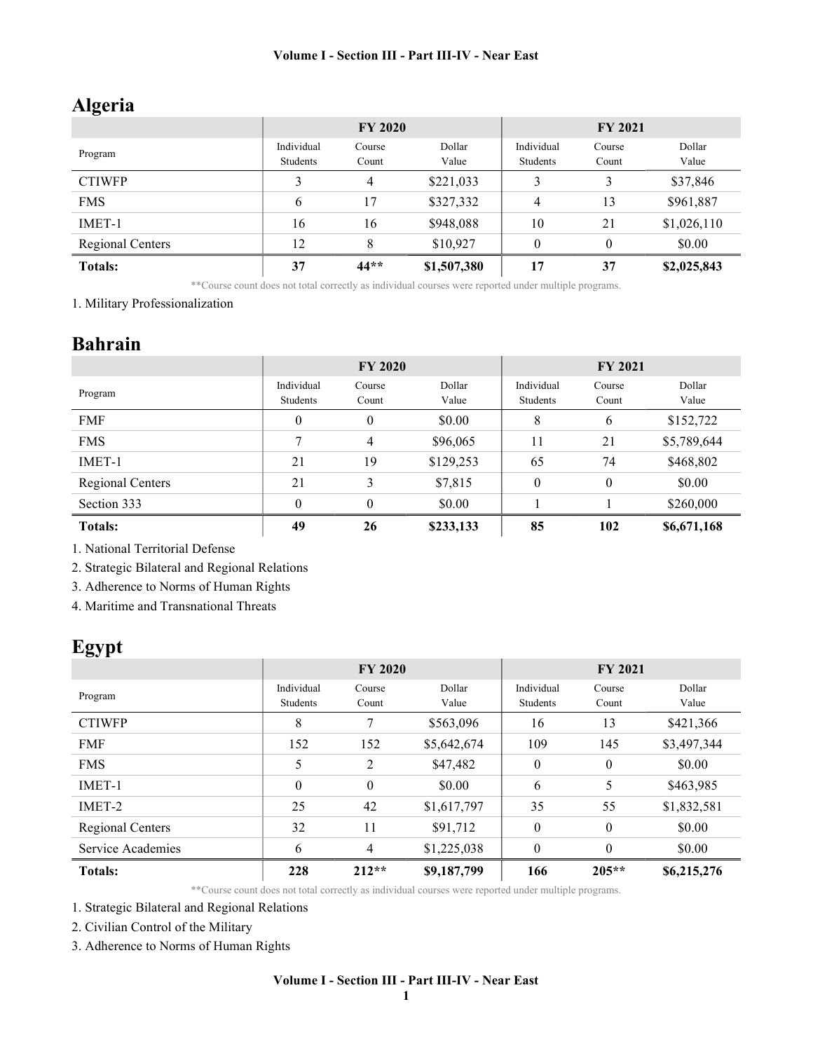# Algeria

|                         | <b>FY 2020</b> |        |             | <b>FY 2021</b> |          |             |
|-------------------------|----------------|--------|-------------|----------------|----------|-------------|
|                         | Individual     | Course | Dollar      | Individual     | Course   | Dollar      |
| Program                 | Students       | Count  | Value       | Students       | Count    | Value       |
| <b>CTIWFP</b>           | 3              | 4      | \$221,033   | 3              | 3        | \$37,846    |
| <b>FMS</b>              | 6              | 17     | \$327,332   | 4              | 13       | \$961,887   |
| IMET-1                  | 16             | 16     | \$948,088   | 10             | 21       | \$1,026,110 |
| <b>Regional Centers</b> | 12             | 8      | \$10,927    | $\theta$       | $\theta$ | \$0.00      |
| <b>Totals:</b>          | 37             | $44**$ | \$1,507,380 | 17             | 37       | \$2,025,843 |

\*\*Course count does not total correctly as individual courses were reported under multiple programs.

1. Military Professionalization

### Bahrain

|                  | <b>FY 2020</b>         |                  |                 | <b>FY 2021</b>         |                 |                 |
|------------------|------------------------|------------------|-----------------|------------------------|-----------------|-----------------|
| Program          | Individual<br>Students | Course<br>Count  | Dollar<br>Value | Individual<br>Students | Course<br>Count | Dollar<br>Value |
| <b>FMF</b>       | $\theta$               | $\boldsymbol{0}$ | \$0.00          | 8                      | 6               | \$152,722       |
| <b>FMS</b>       | 7                      | 4                | \$96,065        | 11                     | 21              | \$5,789,644     |
| IMET-1           | 21                     | 19               | \$129,253       | 65                     | 74              | \$468,802       |
| Regional Centers | 21                     | 3                | \$7,815         | $\theta$               | $\theta$        | \$0.00          |
| Section 333      | $\theta$               | $\theta$         | \$0.00          |                        |                 | \$260,000       |
| <b>Totals:</b>   | 49                     | 26               | \$233,133       | 85                     | 102             | \$6,671,168     |

1. National Territorial Defense

2. Strategic Bilateral and Regional Relations

3. Adherence to Norms of Human Rights

4. Maritime and Transnational Threats

# Egypt

|                   | <b>FY 2020</b> |                |             | <b>FY 2021</b> |              |             |
|-------------------|----------------|----------------|-------------|----------------|--------------|-------------|
| Program           | Individual     | Course         | Dollar      | Individual     | Course       | Dollar      |
|                   | Students       | Count          | Value       | Students       | Count        | Value       |
| <b>CTIWFP</b>     | 8              | 7              | \$563,096   | 16             | 13           | \$421,366   |
| <b>FMF</b>        | 152            | 152            | \$5,642,674 | 109            | 145          | \$3,497,344 |
| <b>FMS</b>        | 5              | 2              | \$47,482    | $\theta$       | $\mathbf{0}$ | \$0.00      |
| IMET-1            | $\theta$       | $\mathbf{0}$   | \$0.00      | 6              | 5            | \$463,985   |
| IMET-2            | 25             | 42             | \$1,617,797 | 35             | 55           | \$1,832,581 |
| Regional Centers  | 32             | 11             | \$91,712    | $\theta$       | $\theta$     | \$0.00      |
| Service Academies | 6              | $\overline{4}$ | \$1,225,038 | $\theta$       | $\theta$     | \$0.00      |
| <b>Totals:</b>    | 228            | $212**$        | \$9,187,799 | 166            | $205**$      | \$6,215,276 |

\*\*Course count does not total correctly as individual courses were reported under multiple programs.

1. Strategic Bilateral and Regional Relations

2. Civilian Control of the Military

3. Adherence to Norms of Human Rights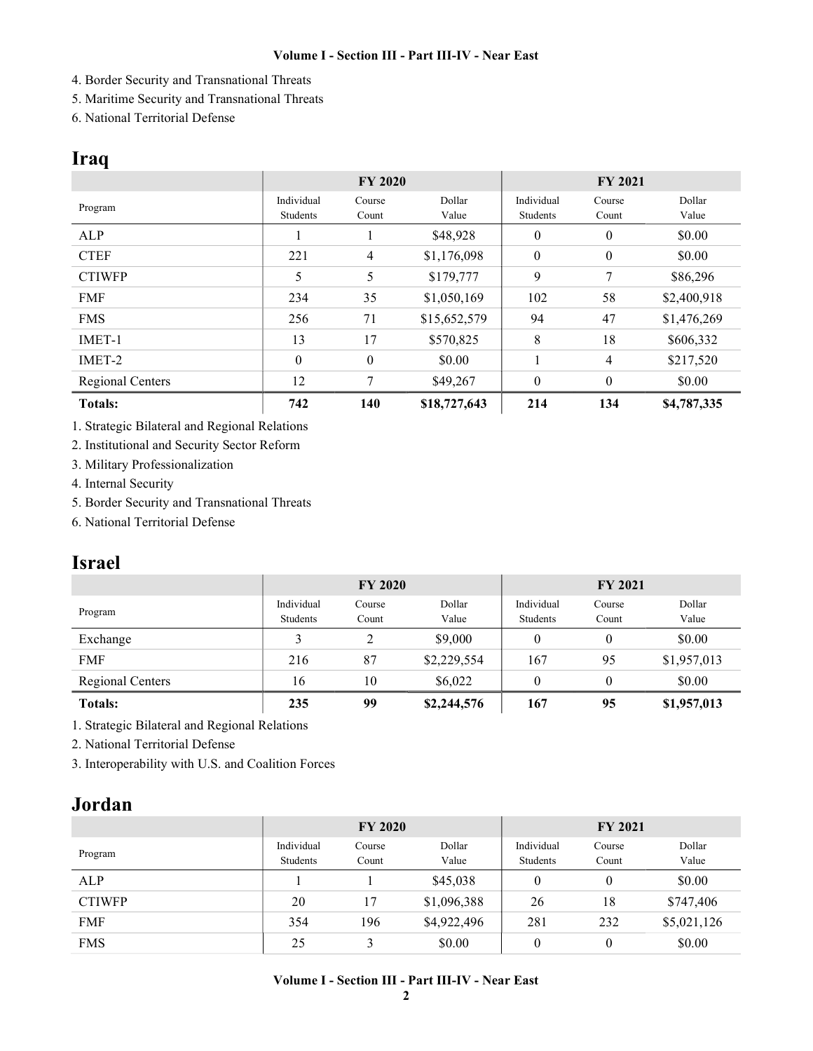- 4. Border Security and Transnational Threats
- 5. Maritime Security and Transnational Threats
- 6. National Territorial Defense

## Iraq

|                         | <b>FY 2020</b>         |                 |                 | <b>FY 2021</b>         |                  |                 |
|-------------------------|------------------------|-----------------|-----------------|------------------------|------------------|-----------------|
| Program                 | Individual<br>Students | Course<br>Count | Dollar<br>Value | Individual<br>Students | Course<br>Count  | Dollar<br>Value |
| ALP                     |                        |                 | \$48,928        | $\theta$               | $\mathbf{0}$     | \$0.00          |
| <b>CTEF</b>             | 221                    | $\overline{4}$  | \$1,176,098     | $\mathbf{0}$           | $\boldsymbol{0}$ | \$0.00          |
| <b>CTIWFP</b>           | 5                      | 5               | \$179,777       | 9                      | 7                | \$86,296        |
| <b>FMF</b>              | 234                    | 35              | \$1,050,169     | 102                    | 58               | \$2,400,918     |
| <b>FMS</b>              | 256                    | 71              | \$15,652,579    | 94                     | 47               | \$1,476,269     |
| IMET-1                  | 13                     | 17              | \$570,825       | 8                      | 18               | \$606,332       |
| IMET-2                  | $\theta$               | $\theta$        | \$0.00          |                        | $\overline{4}$   | \$217,520       |
| <b>Regional Centers</b> | 12                     | 7               | \$49,267        | $\theta$               | $\boldsymbol{0}$ | \$0.00          |
| <b>Totals:</b>          | 742                    | 140             | \$18,727,643    | 214                    | 134              | \$4,787,335     |

1. Strategic Bilateral and Regional Relations

2. Institutional and Security Sector Reform

3. Military Professionalization

4. Internal Security

5. Border Security and Transnational Threats

6. National Territorial Defense

# Israel

|                         | <b>FY 2020</b>         |                 |                 | <b>FY 2021</b>         |                 |                 |
|-------------------------|------------------------|-----------------|-----------------|------------------------|-----------------|-----------------|
| Program                 | Individual<br>Students | Course<br>Count | Dollar<br>Value | Individual<br>Students | Course<br>Count | Dollar<br>Value |
| Exchange                |                        |                 | \$9,000         | 0                      | $\mathbf{0}$    | \$0.00          |
| <b>FMF</b>              | 216                    | 87              | \$2,229,554     | 167                    | 95              | \$1,957,013     |
| <b>Regional Centers</b> | 16                     | 10              | \$6,022         | 0                      | $\theta$        | \$0.00          |
| <b>Totals:</b>          | 235                    | 99              | \$2,244,576     | 167                    | 95              | \$1,957,013     |

1. Strategic Bilateral and Regional Relations

2. National Territorial Defense

3. Interoperability with U.S. and Coalition Forces

### Jordan

|               | <b>FY 2020</b>         |                 |                 | <b>FY 2021</b>         |                 |                 |
|---------------|------------------------|-----------------|-----------------|------------------------|-----------------|-----------------|
| Program       | Individual<br>Students | Course<br>Count | Dollar<br>Value | Individual<br>Students | Course<br>Count | Dollar<br>Value |
| ALP           |                        |                 | \$45,038        | 0                      | $\overline{0}$  | \$0.00          |
| <b>CTIWFP</b> | 20                     | 17              | \$1,096,388     | 26                     | 18              | \$747,406       |
| <b>FMF</b>    | 354                    | 196             | \$4,922,496     | 281                    | 232             | \$5,021,126     |
| <b>FMS</b>    | 25                     |                 | \$0.00          | 0                      | $\theta$        | \$0.00          |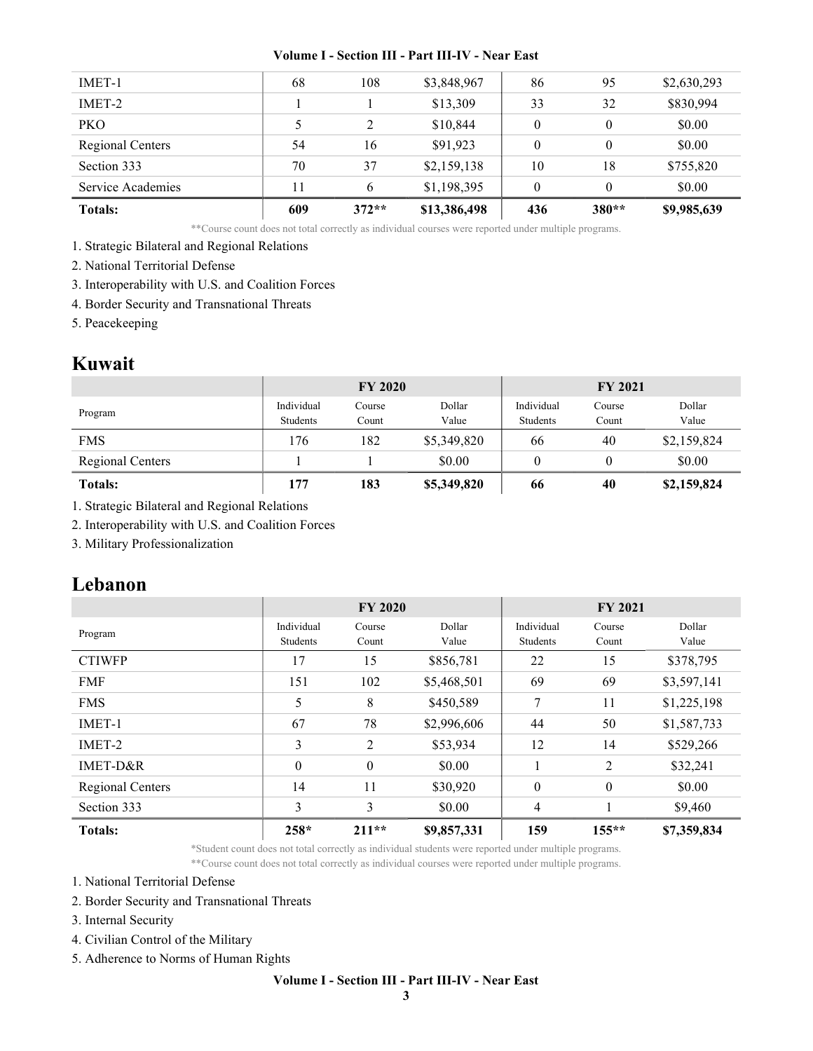| <b>Totals:</b>    | 609 | $372**$ | \$13,386,498 | 436      | $380**$      | \$9,985,639 |
|-------------------|-----|---------|--------------|----------|--------------|-------------|
| Service Academies | 11  | 6       | \$1,198,395  | $\theta$ | $\theta$     | \$0.00      |
| Section 333       | 70  | 37      | \$2,159,138  | 10       | 18           | \$755,820   |
| Regional Centers  | 54  | 16      | \$91,923     | $\theta$ | $\mathbf{0}$ | \$0.00      |
| <b>PKO</b>        |     | 2       | \$10,844     | $\theta$ | $\theta$     | \$0.00      |
| IMET-2            |     |         | \$13,309     | 33       | 32           | \$830,994   |
| IMET-1            | 68  | 108     | \$3,848,967  | 86       | 95           | \$2,630,293 |
|                   |     |         |              |          |              |             |

\*\*Course count does not total correctly as individual courses were reported under multiple programs.

- 1. Strategic Bilateral and Regional Relations
- 2. National Territorial Defense
- 3. Interoperability with U.S. and Coalition Forces
- 4. Border Security and Transnational Threats
- 5. Peacekeeping

### Kuwait

|                         | <b>FY 2020</b>         |                 |                 | <b>FY 2021</b>         |                 |                 |
|-------------------------|------------------------|-----------------|-----------------|------------------------|-----------------|-----------------|
| Program                 | Individual<br>Students | Course<br>Count | Dollar<br>Value | Individual<br>Students | Course<br>Count | Dollar<br>Value |
| <b>FMS</b>              | 176                    | 182             | \$5,349,820     | 66                     | 40              | \$2,159,824     |
| <b>Regional Centers</b> |                        |                 | \$0.00          |                        |                 | \$0.00          |
| <b>Totals:</b>          | 177                    | 183             | \$5,349,820     | 66                     | 40              | \$2,159,824     |

1. Strategic Bilateral and Regional Relations

2. Interoperability with U.S. and Coalition Forces

3. Military Professionalization

### Lebanon

|                  | <b>FY 2020</b>         |                 |                 | <b>FY 2021</b>         |                  |                 |
|------------------|------------------------|-----------------|-----------------|------------------------|------------------|-----------------|
| Program          | Individual<br>Students | Course<br>Count | Dollar<br>Value | Individual<br>Students | Course<br>Count  | Dollar<br>Value |
| <b>CTIWFP</b>    | 17                     | 15              | \$856,781       | 22                     | 15               | \$378,795       |
| <b>FMF</b>       | 151                    | 102             | \$5,468,501     | 69                     | 69               | \$3,597,141     |
| <b>FMS</b>       | 5                      | 8               | \$450,589       | 7                      | 11               | \$1,225,198     |
| IMET-1           | 67                     | 78              | \$2,996,606     | 44                     | 50               | \$1,587,733     |
| IMET-2           | 3                      | 2               | \$53,934        | 12                     | 14               | \$529,266       |
| $IMET-D&R$       | $\theta$               | $\theta$        | \$0.00          |                        | 2                | \$32,241        |
| Regional Centers | 14                     | 11              | \$30,920        | $\mathbf{0}$           | $\boldsymbol{0}$ | \$0.00          |
| Section 333      | 3                      | 3               | \$0.00          | $\overline{4}$         |                  | \$9,460         |
| <b>Totals:</b>   | 258*                   | $211**$         | \$9,857,331     | 159                    | $155***$         | \$7,359,834     |

\*Student count does not total correctly as individual students were reported under multiple programs. \*\*Course count does not total correctly as individual courses were reported under multiple programs.

1. National Territorial Defense

- 2. Border Security and Transnational Threats
- 3. Internal Security
- 4. Civilian Control of the Military
- 5. Adherence to Norms of Human Rights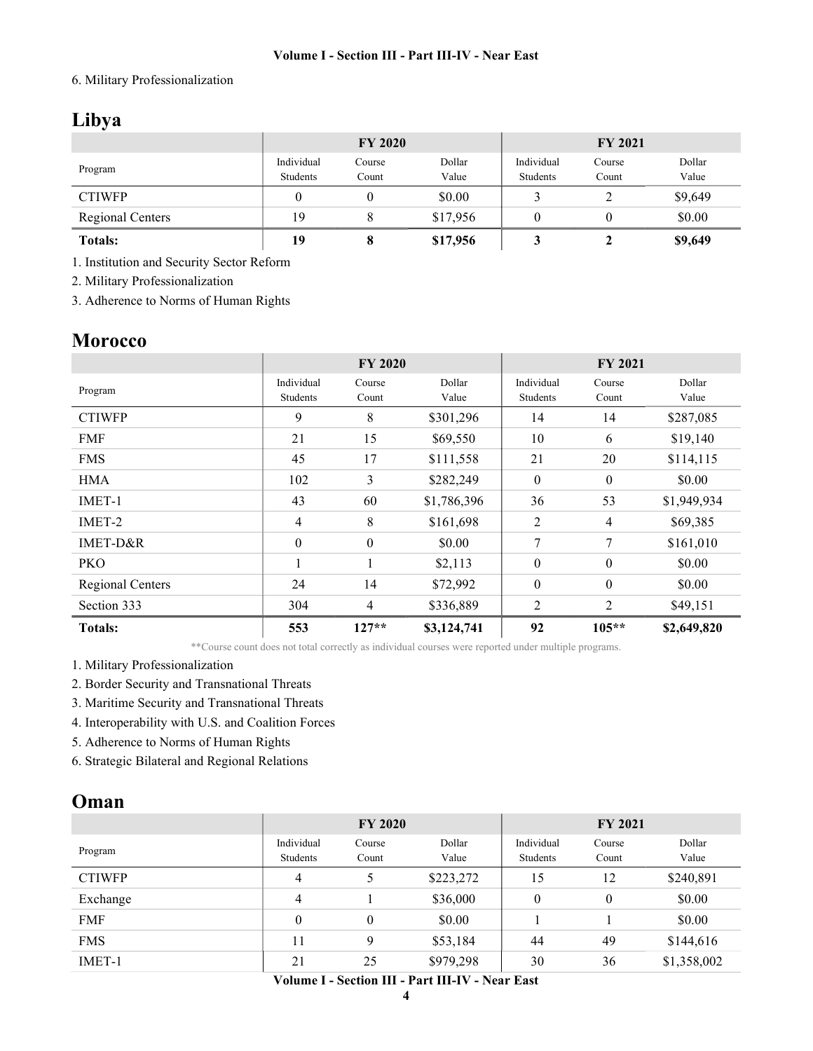#### 6. Military Professionalization

# Libya

|                         |                        | <b>FY 2020</b>  |                 | <b>FY 2021</b>         |                 |                 |  |
|-------------------------|------------------------|-----------------|-----------------|------------------------|-----------------|-----------------|--|
| Program                 | Individual<br>Students | Course<br>Count | Dollar<br>Value | Individual<br>Students | Course<br>Count | Dollar<br>Value |  |
| <b>CTIWFP</b>           |                        |                 | \$0.00          |                        |                 | \$9,649         |  |
| <b>Regional Centers</b> | 19                     |                 | \$17,956        |                        |                 | \$0.00          |  |
| <b>Totals:</b>          | 19                     |                 | \$17,956        |                        |                 | \$9,649         |  |

1. Institution and Security Sector Reform

2. Military Professionalization

3. Adherence to Norms of Human Rights

### **Morocco**

|                         | <b>FY 2020</b>         |                  |                 | <b>FY 2021</b>         |                  |                 |
|-------------------------|------------------------|------------------|-----------------|------------------------|------------------|-----------------|
| Program                 | Individual<br>Students | Course<br>Count  | Dollar<br>Value | Individual<br>Students | Course<br>Count  | Dollar<br>Value |
| <b>CTIWFP</b>           | 9                      | 8                | \$301,296       | 14                     | 14               | \$287,085       |
| <b>FMF</b>              | 21                     | 15               | \$69,550        | 10                     | 6                | \$19,140        |
| <b>FMS</b>              | 45                     | 17               | \$111,558       | 21                     | 20               | \$114,115       |
| <b>HMA</b>              | 102                    | 3                | \$282,249       | $\theta$               | $\boldsymbol{0}$ | \$0.00          |
| IMET-1                  | 43                     | 60               | \$1,786,396     | 36                     | 53               | \$1,949,934     |
| IMET-2                  | 4                      | 8                | \$161,698       | 2                      | $\overline{4}$   | \$69,385        |
| IMET-D&R                | $\theta$               | $\boldsymbol{0}$ | \$0.00          | 7                      | 7                | \$161,010       |
| PKO                     |                        | -1               | \$2,113         | 0                      | $\boldsymbol{0}$ | \$0.00          |
| <b>Regional Centers</b> | 24                     | 14               | \$72,992        | $\boldsymbol{0}$       | $\boldsymbol{0}$ | \$0.00          |
| Section 333             | 304                    | $\overline{4}$   | \$336,889       | 2                      | 2                | \$49,151        |
| <b>Totals:</b>          | 553                    | $127**$          | \$3,124,741     | 92                     | $105***$         | \$2,649,820     |

\*\*Course count does not total correctly as individual courses were reported under multiple programs.

1. Military Professionalization

2. Border Security and Transnational Threats

3. Maritime Security and Transnational Threats

4. Interoperability with U.S. and Coalition Forces

5. Adherence to Norms of Human Rights

6. Strategic Bilateral and Regional Relations

### Oman

|               | <b>FY 2020</b> |                  |           | <b>FY 2021</b> |          |             |
|---------------|----------------|------------------|-----------|----------------|----------|-------------|
| Program       | Individual     | Course           | Dollar    | Individual     | Course   | Dollar      |
|               | Students       | Count            | Value     | Students       | Count    | Value       |
| <b>CTIWFP</b> | 4              |                  | \$223,272 | 15             | 12       | \$240,891   |
| Exchange      | 4              |                  | \$36,000  | $\theta$       | $\theta$ | \$0.00      |
| <b>FMF</b>    | $\overline{0}$ | $\boldsymbol{0}$ | \$0.00    |                |          | \$0.00      |
| <b>FMS</b>    | 11             | 9                | \$53,184  | 44             | 49       | \$144,616   |
| IMET-1        | 21             | 25               | \$979,298 | 30             | 36       | \$1,358,002 |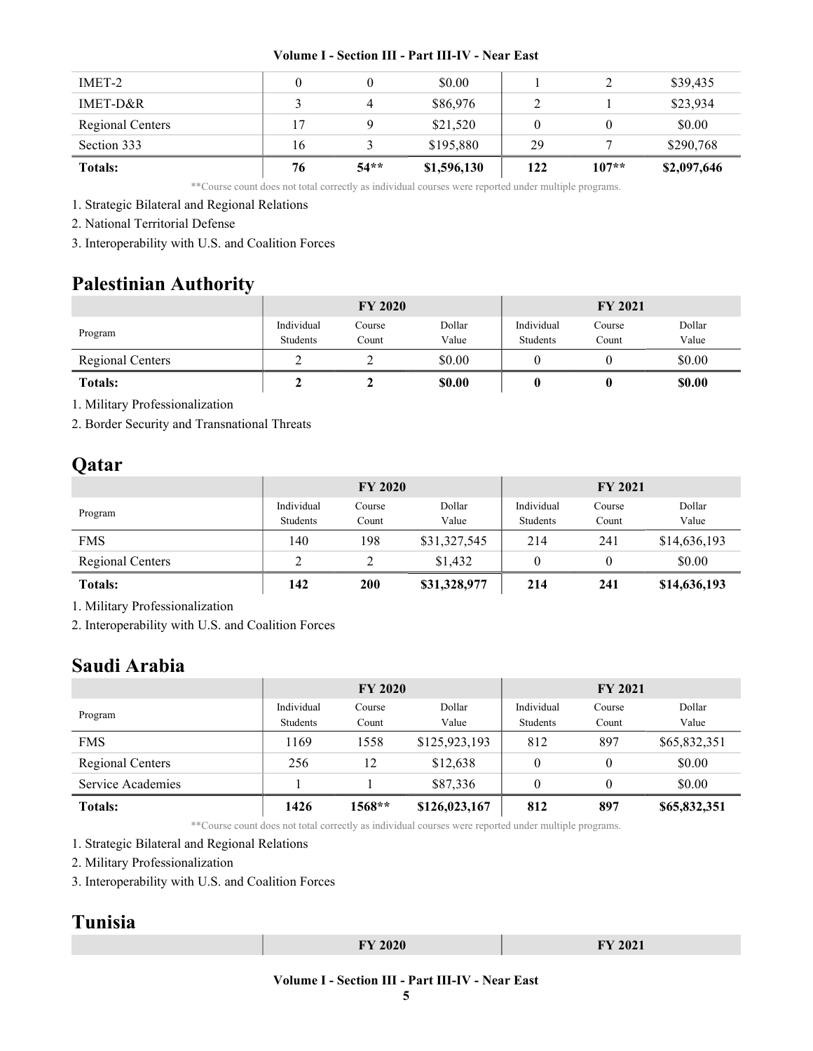| IMET-2                  |    |        | \$0.00      |     |         | \$39,435    |
|-------------------------|----|--------|-------------|-----|---------|-------------|
| IMET-D&R                |    |        | \$86,976    |     |         | \$23,934    |
| <b>Regional Centers</b> | 17 |        | \$21,520    |     |         | \$0.00      |
| Section 333             | 16 |        | \$195,880   | 29  |         | \$290,768   |
| <b>Totals:</b>          | 76 | $54**$ | \$1,596,130 | 122 | $107**$ | \$2,097,646 |

\*\*Course count does not total correctly as individual courses were reported under multiple programs.

1. Strategic Bilateral and Regional Relations

2. National Territorial Defense

3. Interoperability with U.S. and Coalition Forces

# Palestinian Authority

|                         | <b>FY 2020</b>         |                 |                 | <b>FY 2021</b>         |                 |                 |
|-------------------------|------------------------|-----------------|-----------------|------------------------|-----------------|-----------------|
| Program                 | Individual<br>Students | Course<br>Count | Dollar<br>Value | Individual<br>Students | Course<br>Count | Dollar<br>Value |
|                         |                        |                 |                 |                        |                 |                 |
| <b>Regional Centers</b> |                        |                 | \$0.00          |                        |                 | \$0.00          |
| <b>Totals:</b>          |                        |                 | \$0.00          |                        |                 | \$0.00          |

1. Military Professionalization

2. Border Security and Transnational Threats

# Qatar

|                         | <b>FY 2020</b>         |                 |                 | <b>FY 2021</b>         |                 |                 |
|-------------------------|------------------------|-----------------|-----------------|------------------------|-----------------|-----------------|
| Program                 | Individual<br>Students | Course<br>Count | Dollar<br>Value | Individual<br>Students | Course<br>Count | Dollar<br>Value |
| <b>FMS</b>              | 140                    | 198             | \$31,327,545    | 214                    | 241             | \$14,636,193    |
| <b>Regional Centers</b> |                        |                 | \$1,432         |                        |                 | \$0.00          |
| <b>Totals:</b>          | 142                    | 200             | \$31,328,977    | 214                    | 241             | \$14,636,193    |

1. Military Professionalization

2. Interoperability with U.S. and Coalition Forces

### Saudi Arabia

|                   | <b>FY 2020</b>         |                 |                 | <b>FY 2021</b>         |                 |                 |
|-------------------|------------------------|-----------------|-----------------|------------------------|-----------------|-----------------|
| Program           | Individual<br>Students | Course<br>Count | Dollar<br>Value | Individual<br>Students | Course<br>Count | Dollar<br>Value |
| <b>FMS</b>        | 1169                   | 1558            | \$125,923,193   | 812                    | 897             | \$65,832,351    |
| Regional Centers  | 256                    | 12              | \$12,638        |                        | $\theta$        | \$0.00          |
| Service Academies |                        |                 | \$87,336        |                        | 0               | \$0.00          |
| <b>Totals:</b>    | 1426                   | 1568**          | \$126,023,167   | 812                    | 897             | \$65,832,351    |

\*\*Course count does not total correctly as individual courses were reported under multiple programs.

1. Strategic Bilateral and Regional Relations

2. Military Professionalization

3. Interoperability with U.S. and Coalition Forces

## Tunisia

|  | <b>EV 2020</b><br>$-0-0$ | FY 2021 |
|--|--------------------------|---------|
|--|--------------------------|---------|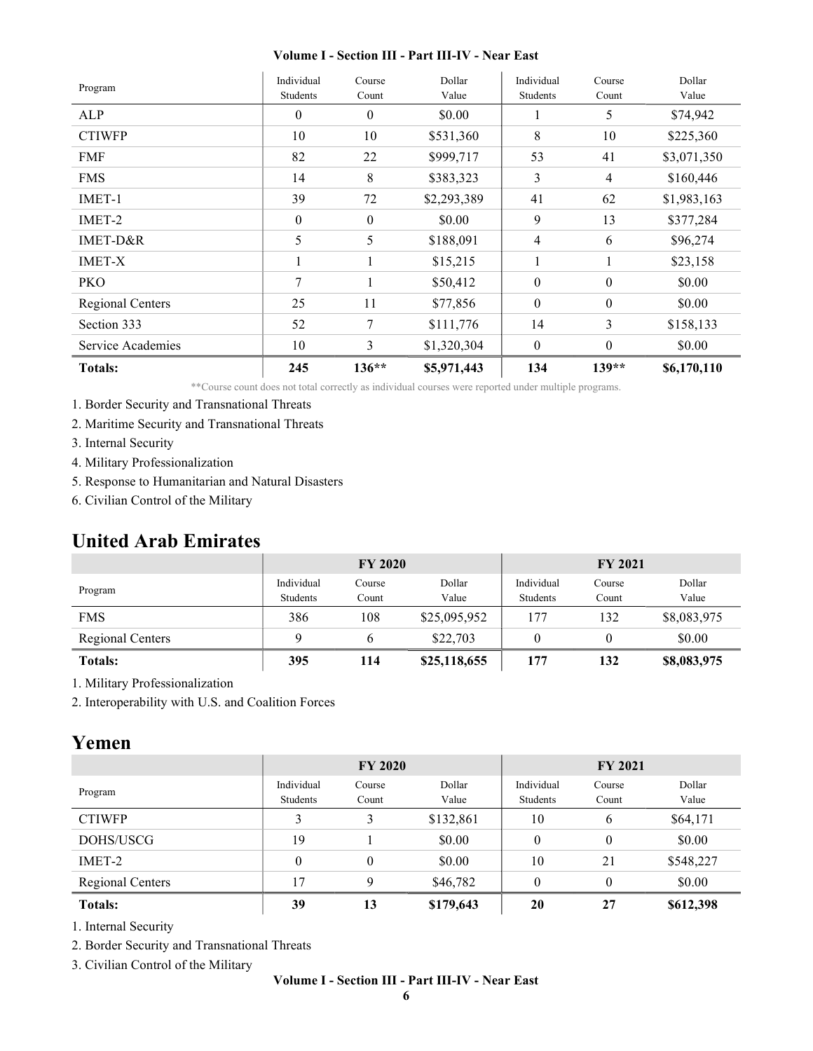| Program           | Individual<br>Students | Course<br>Count | Dollar<br>Value | Individual<br>Students | Course<br>Count  | Dollar<br>Value |
|-------------------|------------------------|-----------------|-----------------|------------------------|------------------|-----------------|
| ALP               | $\boldsymbol{0}$       | $\theta$        | \$0.00          |                        | 5                | \$74,942        |
| <b>CTIWFP</b>     | 10                     | 10              | \$531,360       | $\,8\,$                | 10               | \$225,360       |
| <b>FMF</b>        | 82                     | 22              | \$999,717       | 53                     | 41               | \$3,071,350     |
| <b>FMS</b>        | 14                     | 8               | \$383,323       | 3                      | $\overline{4}$   | \$160,446       |
| IMET-1            | 39                     | 72              | \$2,293,389     | 41                     | 62               | \$1,983,163     |
| IMET-2            | $\boldsymbol{0}$       | $\theta$        | \$0.00          | 9                      | 13               | \$377,284       |
| IMET-D&R          | 5                      | 5               | \$188,091       | 4                      | 6                | \$96,274        |
| <b>IMET-X</b>     |                        |                 | \$15,215        |                        |                  | \$23,158        |
| <b>PKO</b>        | 7                      |                 | \$50,412        | $\mathbf{0}$           | $\boldsymbol{0}$ | \$0.00          |
| Regional Centers  | 25                     | 11              | \$77,856        | $\boldsymbol{0}$       | $\boldsymbol{0}$ | \$0.00          |
| Section 333       | 52                     | 7               | \$111,776       | 14                     | $\mathfrak{Z}$   | \$158,133       |
| Service Academies | 10                     | 3               | \$1,320,304     | $\theta$               | $\theta$         | \$0.00          |
| <b>Totals:</b>    | 245                    | $136**$         | \$5,971,443     | 134                    | $139**$          | \$6,170,110     |

\*\*Course count does not total correctly as individual courses were reported under multiple programs.

- 1. Border Security and Transnational Threats
- 2. Maritime Security and Transnational Threats
- 3. Internal Security
- 4. Military Professionalization
- 5. Response to Humanitarian and Natural Disasters
- 6. Civilian Control of the Military

### United Arab Emirates

|                  | <b>FY 2020</b>         |                 |                 | <b>FY 2021</b>         |                 |                 |
|------------------|------------------------|-----------------|-----------------|------------------------|-----------------|-----------------|
| Program          | Individual<br>Students | Course<br>Count | Dollar<br>Value | Individual<br>Students | Course<br>Count | Dollar<br>Value |
| <b>FMS</b>       | 386                    | 108             | \$25,095,952    | 177                    | 132             | \$8,083,975     |
| Regional Centers |                        |                 | \$22,703        |                        |                 | \$0.00          |
| <b>Totals:</b>   | 395                    | 114             | \$25,118,655    | 177                    | 132             | \$8,083,975     |

1. Military Professionalization

2. Interoperability with U.S. and Coalition Forces

### Yemen

|                  | <b>FY 2020</b> |        |           | <b>FY 2021</b> |          |           |
|------------------|----------------|--------|-----------|----------------|----------|-----------|
| Program          | Individual     | Course | Dollar    | Individual     | Course   | Dollar    |
|                  | Students       | Count  | Value     | Students       | Count    | Value     |
| <b>CTIWFP</b>    | 3              | 3      | \$132,861 | 10             | 6        | \$64,171  |
| DOHS/USCG        | 19             |        | \$0.00    | $\theta$       | $\theta$ | \$0.00    |
| IMET-2           | 0              | 0      | \$0.00    | 10             | 21       | \$548,227 |
| Regional Centers | 17             | 9      | \$46,782  | $\theta$       | $\theta$ | \$0.00    |
| <b>Totals:</b>   | 39             | 13     | \$179,643 | 20             | 27       | \$612,398 |

1. Internal Security

2. Border Security and Transnational Threats

3. Civilian Control of the Military